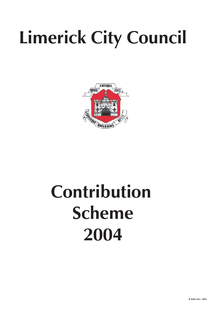# **Limerick City Council**



## **Contribution Scheme 2004**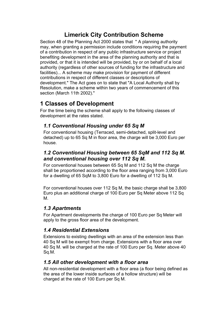## **Limerick City Contribution Scheme**

Section 48 of the Planning Act 2000 states that " A planning authority may, when granting a permission include conditions requiring the payment of a contribution in respect of any public infrastructure service or project benefiting development in the area of the planning authority and that is provided, or that it is intended will be provided, by or on behalf of a local authority (regardless of other sources of funding for the infrastructure and facilities)... A scheme may make provision for payment of different contributions in respect of different classes or descriptions of development." The Act goes on to state that "A Local Authority shall by Resolution, make a scheme within two years of commencement of this section (March 11th 2002)."

### **1 Classes of Development**

For the time being the scheme shall apply to the following classes of development at the rates stated.

#### *1.1 Conventional Housing under 65 Sq M*

For conventional housing (Terraced, semi-detached, split-level and detached) up to 65 Sq M in floor area, the charge will be 3,000 Euro per house.

#### *1.2 Conventional Housing between 65 SqM and 112 Sq M. and conventional housing over 112 Sq M.*

For conventional houses between 65 Sq M and 112 Sq M the charge shall be proportioned according to the floor area ranging from 3,000 Euro for a dwelling of 65 SqM to 3,800 Euro for a dwelling of 112 Sq M.

For conventional houses over 112 Sq M, the basic charge shall be 3,800 Euro plus an additional charge of 100 Euro per Sq Meter above 112 Sq M.

#### *1.3 Apartments*

For Apartment developments the charge of 100 Euro per Sq Meter will apply to the gross floor area of the development.

#### *1.4 Residential Extensions*

Extensions to existing dwellings with an area of the extension less than 40 Sq M will be exempt from charge. Extensions with a floor area over 40 Sq M. will be charged at the rate of 100 Euro per Sq. Meter above 40 Sq.M.

#### *1.5 All other development with a floor area*

All non-residential development with a floor area (a floor being defined as the area of the lower inside surfaces of a hollow structure) will be charged at the rate of 100 Euro per Sq M.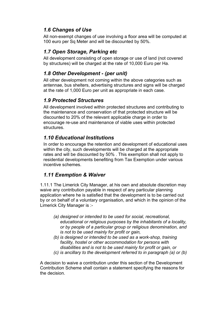#### *1.6 Changes of Use*

All non-exempt changes of use involving a floor area will be computed at 100 euro per Sq Meter and will be discounted by 50%.

#### *1.7 Open Storage, Parking etc*

All development consisting of open storage or use of land (not covered by structures) will be charged at the rate of 10,000 Euro per Ha.

#### *1.8 Other Development - (per unit)*

All other development not coming within the above categories such as antennae, bus shelters, advertising structures and signs will be charged at the rate of 1,000 Euro per unit as appropriate in each case.

#### *1.9 Protected Structures*

All development involved within protected structures and contributing to the maintenance and conservation of that protected structure will be discounted to 20% of the relevant applicable charge in order to encourage re-use and maintenance of viable uses within protected **structures** 

#### *1.10 Educational Institutions*

In order to encourage the retention and development of educational uses within the city, such developments will be charged at the appropriate rates and will be discounted by 50% . This exemption shall not apply to residential developments benefiting from Tax Exemption under various incentive schemes.

#### *1.11 Exemption & Waiver*

1.11.1 The Limerick City Manager, at his own and absolute discretion may waive any contribution payable in respect of any particular planning application where he is satisfied that the development is to be carried out by or on behalf of a voluntary organisation, and which in the opinion of the Limerick City Manager is :-

- *(a) designed or intended to be used for social, recreational, educational or religious purposes by the inhabitants of a locality, or by people of a particular group or religious denomination, and is not to be used mainly for profit or gain,*
- *(b) is designed or intended to be used as a work-shop, training facility, hostel or other accommodation for persons with disabilities and is not to be used mainly for profit or gain, or*
- *(c) is ancillary to the development referred to in paragraph (a) or (b)*

A decision to waive a contribution under this section of the Development Contribution Scheme shall contain a statement specifying the reasons for the decision.